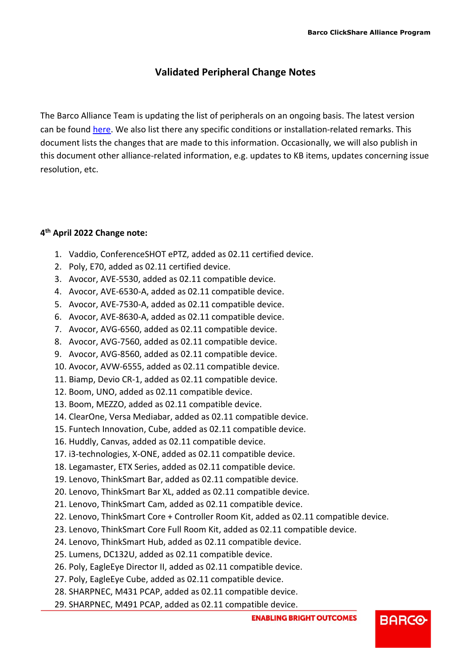# **Validated Peripheral Change Notes**

The Barco Alliance Team is updating the list of peripherals on an ongoing basis. The latest version can be found [here.](https://www.barco.com/en/clickshare/alliance-partners/peripherals) We also list there any specific conditions or installation-related remarks. This document lists the changes that are made to this information. Occasionally, we will also publish in this document other alliance-related information, e.g. updates to KB items, updates concerning issue resolution, etc.

# **4 th April 2022 Change note:**

- 1. Vaddio, ConferenceSHOT ePTZ, added as 02.11 certified device.
- 2. Poly, E70, added as 02.11 certified device.
- 3. Avocor, AVE-5530, added as 02.11 compatible device.
- 4. Avocor, AVE-6530-A, added as 02.11 compatible device.
- 5. Avocor, AVE-7530-A, added as 02.11 compatible device.
- 6. Avocor, AVE-8630-A, added as 02.11 compatible device.
- 7. Avocor, AVG-6560, added as 02.11 compatible device.
- 8. Avocor, AVG-7560, added as 02.11 compatible device.
- 9. Avocor, AVG-8560, added as 02.11 compatible device.
- 10. Avocor, AVW-6555, added as 02.11 compatible device.
- 11. Biamp, Devio CR-1, added as 02.11 compatible device.
- 12. Boom, UNO, added as 02.11 compatible device.
- 13. Boom, MEZZO, added as 02.11 compatible device.
- 14. ClearOne, Versa Mediabar, added as 02.11 compatible device.
- 15. Funtech Innovation, Cube, added as 02.11 compatible device.
- 16. Huddly, Canvas, added as 02.11 compatible device.
- 17. i3-technologies, X-ONE, added as 02.11 compatible device.
- 18. Legamaster, ETX Series, added as 02.11 compatible device.
- 19. Lenovo, ThinkSmart Bar, added as 02.11 compatible device.
- 20. Lenovo, ThinkSmart Bar XL, added as 02.11 compatible device.
- 21. Lenovo, ThinkSmart Cam, added as 02.11 compatible device.
- 22. Lenovo, ThinkSmart Core + Controller Room Kit, added as 02.11 compatible device.
- 23. Lenovo, ThinkSmart Core Full Room Kit, added as 02.11 compatible device.
- 24. Lenovo, ThinkSmart Hub, added as 02.11 compatible device.
- 25. Lumens, DC132U, added as 02.11 compatible device.
- 26. Poly, EagleEye Director II, added as 02.11 compatible device.
- 27. Poly, EagleEye Cube, added as 02.11 compatible device.
- 28. SHARPNEC, M431 PCAP, added as 02.11 compatible device.
- 29. SHARPNEC, M491 PCAP, added as 02.11 compatible device.

**BARCO**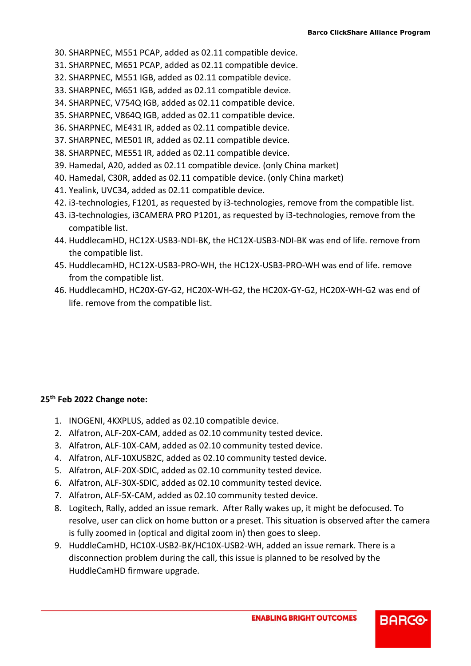- 30. SHARPNEC, M551 PCAP, added as 02.11 compatible device.
- 31. SHARPNEC, M651 PCAP, added as 02.11 compatible device.
- 32. SHARPNEC, M551 IGB, added as 02.11 compatible device.
- 33. SHARPNEC, M651 IGB, added as 02.11 compatible device.
- 34. SHARPNEC, V754Q IGB, added as 02.11 compatible device.
- 35. SHARPNEC, V864Q IGB, added as 02.11 compatible device.
- 36. SHARPNEC, ME431 IR, added as 02.11 compatible device.
- 37. SHARPNEC, ME501 IR, added as 02.11 compatible device.
- 38. SHARPNEC, ME551 IR, added as 02.11 compatible device.
- 39. Hamedal, A20, added as 02.11 compatible device. (only China market)
- 40. Hamedal, C30R, added as 02.11 compatible device. (only China market)
- 41. Yealink, UVC34, added as 02.11 compatible device.
- 42. i3-technologies, F1201, as requested by i3-technologies, remove from the compatible list.
- 43. i3-technologies, i3CAMERA PRO P1201, as requested by i3-technologies, remove from the compatible list.
- 44. HuddlecamHD, HC12X-USB3-NDI-BK, the HC12X-USB3-NDI-BK was end of life. remove from the compatible list.
- 45. HuddlecamHD, HC12X-USB3-PRO-WH, the HC12X-USB3-PRO-WH was end of life. remove from the compatible list.
- 46. HuddlecamHD, HC20X-GY-G2, HC20X-WH-G2, the HC20X-GY-G2, HC20X-WH-G2 was end of life. remove from the compatible list.

#### **25th Feb 2022 Change note:**

- 1. INOGENI, 4KXPLUS, added as 02.10 compatible device.
- 2. Alfatron, ALF-20X-CAM, added as 02.10 community tested device.
- 3. Alfatron, ALF-10X-CAM, added as 02.10 community tested device.
- 4. Alfatron, ALF-10XUSB2C, added as 02.10 community tested device.
- 5. Alfatron, ALF-20X-SDIC, added as 02.10 community tested device.
- 6. Alfatron, ALF-30X-SDIC, added as 02.10 community tested device.
- 7. Alfatron, ALF-5X-CAM, added as 02.10 community tested device.
- 8. Logitech, Rally, added an issue remark. After Rally wakes up, it might be defocused. To resolve, user can click on home button or a preset. This situation is observed after the camera is fully zoomed in (optical and digital zoom in) then goes to sleep.
- 9. HuddleCamHD, HC10X-USB2-BK/HC10X-USB2-WH, added an issue remark. There is a disconnection problem during the call, this issue is planned to be resolved by the HuddleCamHD firmware upgrade.

**BARCO**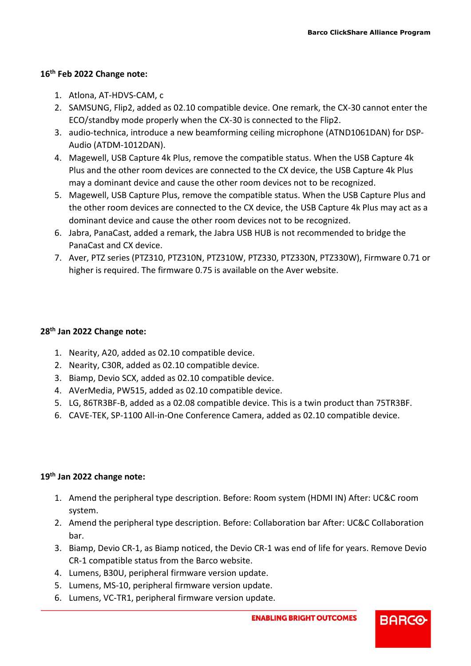# **16 th Feb 2022 Change note:**

- 1. Atlona, AT-HDVS-CAM, c
- 2. SAMSUNG, Flip2, added as 02.10 compatible device. One remark, the CX-30 cannot enter the ECO/standby mode properly when the CX-30 is connected to the Flip2.
- 3. audio-technica, introduce a new beamforming ceiling microphone (ATND1061DAN) for DSP-Audio (ATDM-1012DAN).
- 4. Magewell, USB Capture 4k Plus, remove the compatible status. When the USB Capture 4k Plus and the other room devices are connected to the CX device, the USB Capture 4k Plus may a dominant device and cause the other room devices not to be recognized.
- 5. Magewell, USB Capture Plus, remove the compatible status. When the USB Capture Plus and the other room devices are connected to the CX device, the USB Capture 4k Plus may act as a dominant device and cause the other room devices not to be recognized.
- 6. Jabra, PanaCast, added a remark, the Jabra USB HUB is not recommended to bridge the PanaCast and CX device.
- 7. Aver, PTZ series (PTZ310, PTZ310N, PTZ310W, PTZ330, PTZ330N, PTZ330W), Firmware 0.71 or higher is required. The firmware 0.75 is available on the Aver website.

## **28 th Jan 2022 Change note:**

- 1. Nearity, A20, added as 02.10 compatible device.
- 2. Nearity, C30R, added as 02.10 compatible device.
- 3. Biamp, Devio SCX, added as 02.10 compatible device.
- 4. AVerMedia, PW515, added as 02.10 compatible device.
- 5. LG, 86TR3BF-B, added as a 02.08 compatible device. This is a twin product than 75TR3BF.
- 6. CAVE-TEK, SP-1100 All-in-One Conference Camera, added as 02.10 compatible device.

#### **19th Jan 2022 change note:**

- 1. Amend the peripheral type description. Before: Room system (HDMI IN) After: UC&C room system.
- 2. Amend the peripheral type description. Before: Collaboration bar After: UC&C Collaboration bar.
- 3. Biamp, Devio CR-1, as Biamp noticed, the Devio CR-1 was end of life for years. Remove Devio CR-1 compatible status from the Barco website.
- 4. Lumens, B30U, peripheral firmware version update.
- 5. Lumens, MS-10, peripheral firmware version update.
- 6. Lumens, VC-TR1, peripheral firmware version update.

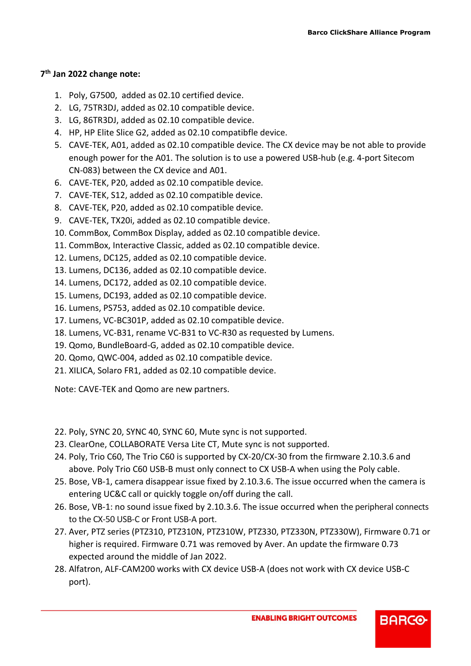## **7 th Jan 2022 change note:**

- 1. Poly, G7500, added as 02.10 certified device.
- 2. LG, 75TR3DJ, added as 02.10 compatible device.
- 3. LG, 86TR3DJ, added as 02.10 compatible device.
- 4. HP, HP Elite Slice G2, added as 02.10 compatibfle device.
- 5. CAVE-TEK, A01, added as 02.10 compatible device. The CX device may be not able to provide enough power for the A01. The solution is to use a powered USB-hub (e.g. 4-port Sitecom CN-083) between the CX device and A01.
- 6. CAVE-TEK, P20, added as 02.10 compatible device.
- 7. CAVE-TEK, S12, added as 02.10 compatible device.
- 8. CAVE-TEK, P20, added as 02.10 compatible device.
- 9. CAVE-TEK, TX20i, added as 02.10 compatible device.
- 10. CommBox, CommBox Display, added as 02.10 compatible device.
- 11. CommBox, Interactive Classic, added as 02.10 compatible device.
- 12. Lumens, DC125, added as 02.10 compatible device.
- 13. Lumens, DC136, added as 02.10 compatible device.
- 14. Lumens, DC172, added as 02.10 compatible device.
- 15. Lumens, DC193, added as 02.10 compatible device.
- 16. Lumens, PS753, added as 02.10 compatible device.
- 17. Lumens, VC-BC301P, added as 02.10 compatible device.
- 18. Lumens, VC-B31, rename VC-B31 to VC-R30 as requested by Lumens.
- 19. Qomo, BundleBoard-G, added as 02.10 compatible device.
- 20. Qomo, QWC-004, added as 02.10 compatible device.
- 21. XILICA, Solaro FR1, added as 02.10 compatible device.

Note: CAVE-TEK and Qomo are new partners.

- 22. Poly, SYNC 20, SYNC 40, SYNC 60, Mute sync is not supported.
- 23. ClearOne, COLLABORATE Versa Lite CT, Mute sync is not supported.
- 24. Poly, Trio C60, The Trio C60 is supported by CX-20/CX-30 from the firmware 2.10.3.6 and above. Poly Trio C60 USB-B must only connect to CX USB-A when using the Poly cable.
- 25. Bose, VB-1, camera disappear issue fixed by 2.10.3.6. The issue occurred when the camera is entering UC&C call or quickly toggle on/off during the call.
- 26. Bose, VB-1: no sound issue fixed by 2.10.3.6. The issue occurred when the peripheral connects to the CX-50 USB-C or Front USB-A port.
- 27. Aver, PTZ series (PTZ310, PTZ310N, PTZ310W, PTZ330, PTZ330N, PTZ330W), Firmware 0.71 or higher is required. Firmware 0.71 was removed by Aver. An update the firmware 0.73 expected around the middle of Jan 2022.
- 28. Alfatron, ALF-CAM200 works with CX device USB-A (does not work with CX device USB-C port).

**ENABLING BRIGHT OUTCOMES**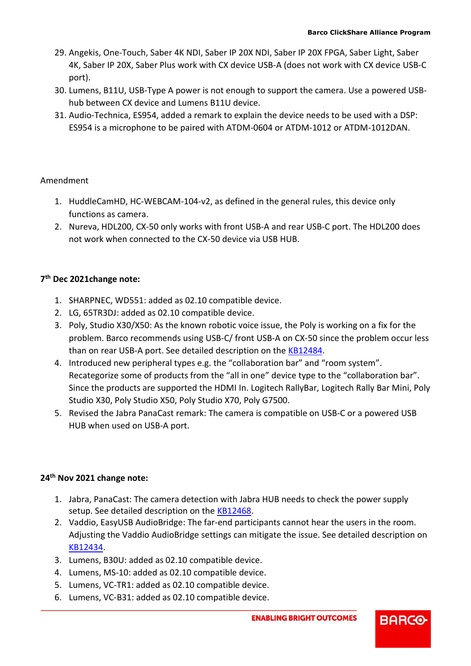- 29. Angekis, One-Touch, Saber 4K NDI, Saber IP 20X NDI, Saber IP 20X FPGA, Saber Light, Saber 4K, Saber IP 20X, Saber Plus work with CX device USB-A (does not work with CX device USB-C port).
- 30. Lumens, B11U, USB-Type A power is not enough to support the camera. Use a powered USBhub between CX device and Lumens B11U device.
- 31. Audio-Technica, ES954, added a remark to explain the device needs to be used with a DSP: ES954 is a microphone to be paired with ATDM-0604 or ATDM-1012 or ATDM-1012DAN.

## Amendment

- 1. HuddleCamHD, HC-WEBCAM-104-v2, as defined in the general rules, this device only functions as camera.
- 2. Nureva, HDL200, CX-50 only works with front USB-A and rear USB-C port. The HDL200 does not work when connected to the CX-50 device via USB HUB.

# **7 th Dec 2021change note:**

- 1. SHARPNEC, WD551: added as 02.10 compatible device.
- 2. LG, 65TR3DJ: added as 02.10 compatible device.
- 3. Poly, Studio X30/X50: As the known robotic voice issue, the Poly is working on a fix for the problem. Barco recommends using USB-C/ front USB-A on CX-50 since the problem occur less than on rear USB-A port. See detailed description on the [KB12484.](https://www.barco.com/en/support/knowledge-base/KB12484)
- 4. Introduced new peripheral types e.g. the "collaboration bar" and "room system". Recategorize some of products from the "all in one" device type to the "collaboration bar". Since the products are supported the HDMI In. Logitech RallyBar, Logitech Rally Bar Mini, Poly Studio X30, Poly Studio X50, Poly Studio X70, Poly G7500.
- 5. Revised the Jabra PanaCast remark: The camera is compatible on USB-C or a powered USB HUB when used on USB-A port.

#### **24th Nov 2021 change note:**

- 1. Jabra, PanaCast: The camera detection with Jabra HUB needs to check the power supply setup. See detailed description on the [KB12468.](https://www.barco.com/en/support/knowledge-base/kb12468)
- 2. Vaddio, EasyUSB AudioBridge: The far-end participants cannot hear the users in the room. Adjusting the Vaddio AudioBridge settings can mitigate the issue. See detailed description on [KB12434.](https://www.barco.com/en/support/knowledge-base/kb12434)
- 3. Lumens, B30U: added as 02.10 compatible device.
- 4. Lumens, MS-10: added as 02.10 compatible device.
- 5. Lumens, VC-TR1: added as 02.10 compatible device.
- 6. Lumens, VC-B31: added as 02.10 compatible device.

**BARCO**